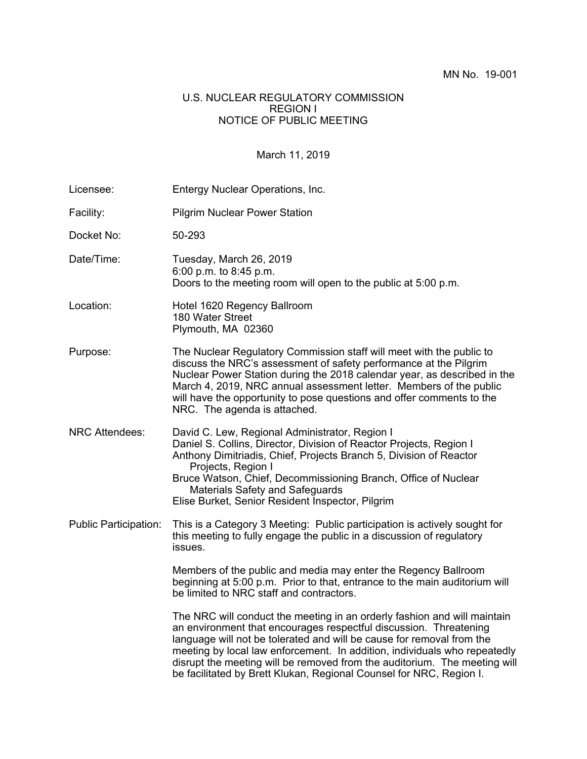#### U.S. NUCLEAR REGULATORY COMMISSION REGION I NOTICE OF PUBLIC MEETING

## March 11, 2019

| Licensee:                    | Entergy Nuclear Operations, Inc.                                                                                                                                                                                                                                                                                                                                                                                                                        |
|------------------------------|---------------------------------------------------------------------------------------------------------------------------------------------------------------------------------------------------------------------------------------------------------------------------------------------------------------------------------------------------------------------------------------------------------------------------------------------------------|
| Facility:                    | <b>Pilgrim Nuclear Power Station</b>                                                                                                                                                                                                                                                                                                                                                                                                                    |
| Docket No:                   | 50-293                                                                                                                                                                                                                                                                                                                                                                                                                                                  |
| Date/Time:                   | Tuesday, March 26, 2019<br>6:00 p.m. to 8:45 p.m.<br>Doors to the meeting room will open to the public at 5:00 p.m.                                                                                                                                                                                                                                                                                                                                     |
| Location:                    | Hotel 1620 Regency Ballroom<br>180 Water Street<br>Plymouth, MA 02360                                                                                                                                                                                                                                                                                                                                                                                   |
| Purpose:                     | The Nuclear Regulatory Commission staff will meet with the public to<br>discuss the NRC's assessment of safety performance at the Pilgrim<br>Nuclear Power Station during the 2018 calendar year, as described in the<br>March 4, 2019, NRC annual assessment letter. Members of the public<br>will have the opportunity to pose questions and offer comments to the<br>NRC. The agenda is attached.                                                    |
| <b>NRC Attendees:</b>        | David C. Lew, Regional Administrator, Region I<br>Daniel S. Collins, Director, Division of Reactor Projects, Region I<br>Anthony Dimitriadis, Chief, Projects Branch 5, Division of Reactor<br>Projects, Region I<br>Bruce Watson, Chief, Decommissioning Branch, Office of Nuclear<br>Materials Safety and Safeguards<br>Elise Burket, Senior Resident Inspector, Pilgrim                                                                              |
| <b>Public Participation:</b> | This is a Category 3 Meeting: Public participation is actively sought for<br>this meeting to fully engage the public in a discussion of regulatory<br>issues.                                                                                                                                                                                                                                                                                           |
|                              | Members of the public and media may enter the Regency Ballroom<br>beginning at 5:00 p.m. Prior to that, entrance to the main auditorium will<br>be limited to NRC staff and contractors.                                                                                                                                                                                                                                                                |
|                              | The NRC will conduct the meeting in an orderly fashion and will maintain<br>an environment that encourages respectful discussion. Threatening<br>language will not be tolerated and will be cause for removal from the<br>meeting by local law enforcement. In addition, individuals who repeatedly<br>disrupt the meeting will be removed from the auditorium. The meeting will<br>be facilitated by Brett Klukan, Regional Counsel for NRC, Region I. |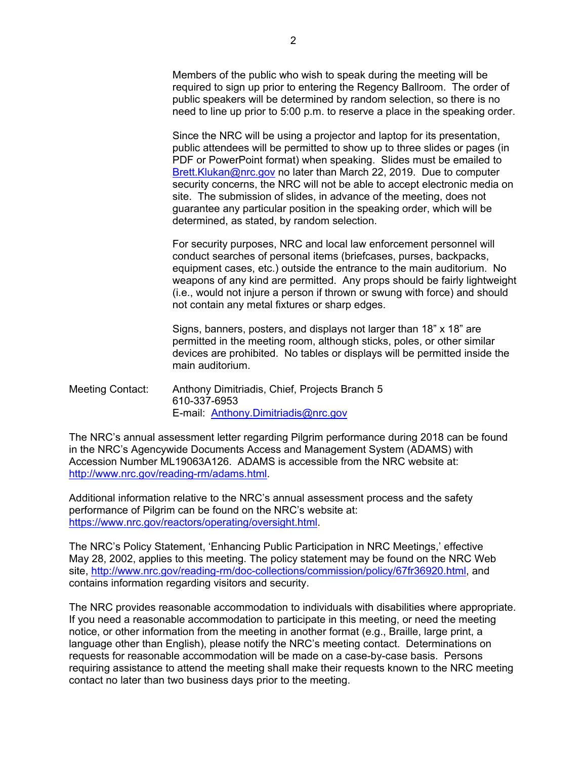Members of the public who wish to speak during the meeting will be required to sign up prior to entering the Regency Ballroom. The order of public speakers will be determined by random selection, so there is no need to line up prior to 5:00 p.m. to reserve a place in the speaking order.

Since the NRC will be using a projector and laptop for its presentation, public attendees will be permitted to show up to three slides or pages (in PDF or PowerPoint format) when speaking. Slides must be emailed to Brett.Klukan@nrc.gov no later than March 22, 2019. Due to computer security concerns, the NRC will not be able to accept electronic media on site. The submission of slides, in advance of the meeting, does not guarantee any particular position in the speaking order, which will be determined, as stated, by random selection.

 For security purposes, NRC and local law enforcement personnel will conduct searches of personal items (briefcases, purses, backpacks, equipment cases, etc.) outside the entrance to the main auditorium. No weapons of any kind are permitted. Any props should be fairly lightweight (i.e., would not injure a person if thrown or swung with force) and should not contain any metal fixtures or sharp edges.

Signs, banners, posters, and displays not larger than 18" x 18" are permitted in the meeting room, although sticks, poles, or other similar devices are prohibited. No tables or displays will be permitted inside the main auditorium.

Meeting Contact: Anthony Dimitriadis, Chief, Projects Branch 5 610-337-6953 E-mail: Anthony.Dimitriadis@nrc.gov

The NRC's annual assessment letter regarding Pilgrim performance during 2018 can be found in the NRC's Agencywide Documents Access and Management System (ADAMS) with Accession Number ML19063A126.ADAMS is accessible from the NRC website at: http://www.nrc.gov/reading-rm/adams.html.

Additional information relative to the NRC's annual assessment process and the safety performance of Pilgrim can be found on the NRC's website at: https://www.nrc.gov/reactors/operating/oversight.html.

The NRC's Policy Statement, 'Enhancing Public Participation in NRC Meetings,' effective May 28, 2002, applies to this meeting. The policy statement may be found on the NRC Web site, http://www.nrc.gov/reading-rm/doc-collections/commission/policy/67fr36920.html, and contains information regarding visitors and security.

The NRC provides reasonable accommodation to individuals with disabilities where appropriate. If you need a reasonable accommodation to participate in this meeting, or need the meeting notice, or other information from the meeting in another format (e.g., Braille, large print, a language other than English), please notify the NRC's meeting contact. Determinations on requests for reasonable accommodation will be made on a case-by-case basis. Persons requiring assistance to attend the meeting shall make their requests known to the NRC meeting contact no later than two business days prior to the meeting.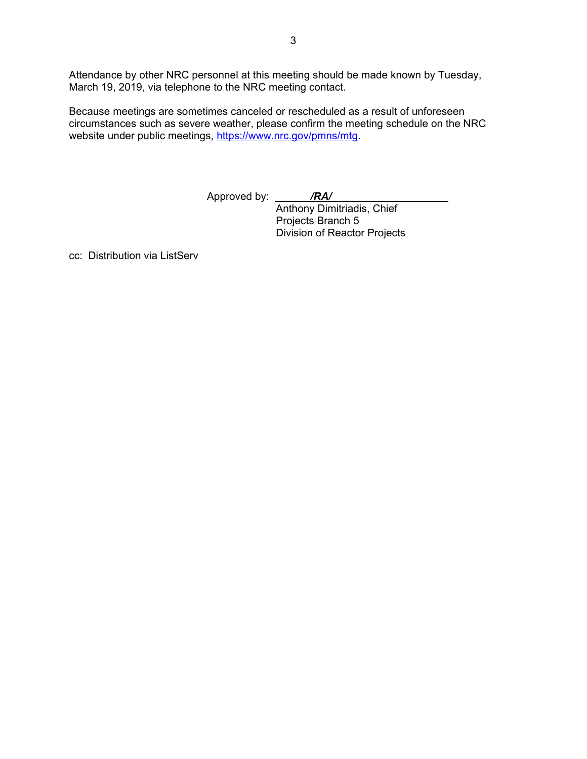Attendance by other NRC personnel at this meeting should be made known by Tuesday, March 19, 2019, via telephone to the NRC meeting contact.

Because meetings are sometimes canceled or rescheduled as a result of unforeseen circumstances such as severe weather, please confirm the meeting schedule on the NRC website under public meetings, https://www.nrc.gov/pmns/mtg.

Approved by: */RA/*

 Anthony Dimitriadis, Chief Projects Branch 5 Division of Reactor Projects

cc: Distribution via ListServ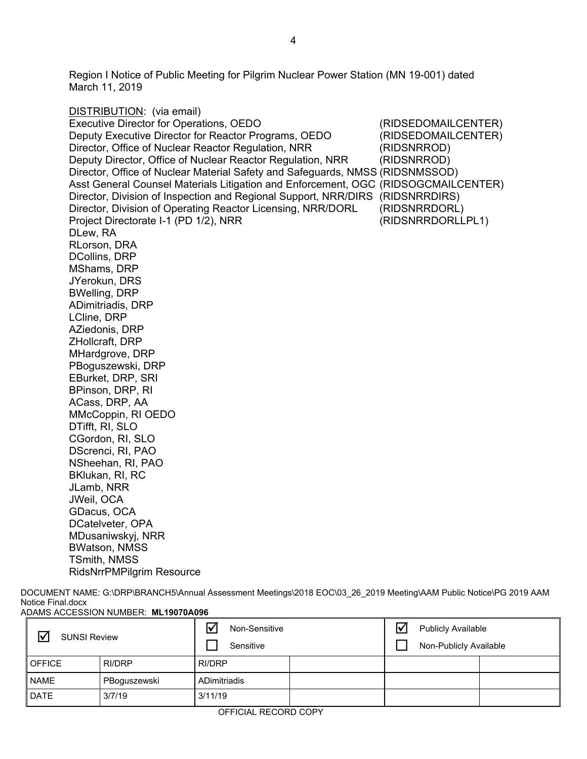Region I Notice of Public Meeting for Pilgrim Nuclear Power Station (MN 19-001) dated March 11, 2019

DISTRIBUTION: (via email) Executive Director for Operations, OEDO (RIDSEDOMAILCENTER) Deputy Executive Director for Reactor Programs, OEDO (RIDSEDOMAILCENTER) Director, Office of Nuclear Reactor Regulation, NRR (RIDSNRROD) Deputy Director, Office of Nuclear Reactor Regulation, NRR (RIDSNRROD) Director, Office of Nuclear Material Safety and Safeguards, NMSS (RIDSNMSSOD) Asst General Counsel Materials Litigation and Enforcement, OGC (RIDSOGCMAILCENTER) Director, Division of Inspection and Regional Support, NRR/DIRS (RIDSNRRDIRS) Director, Division of Operating Reactor Licensing, NRR/DORL (RIDSNRRDORL) Project Directorate I-1 (PD 1/2), NRR (RIDSNRRDORLLPL1) DLew, RA RLorson, DRA DCollins, DRP MShams, DRP JYerokun, DRS BWelling, DRP ADimitriadis, DRP LCline, DRP AZiedonis, DRP ZHollcraft, DRP MHardgrove, DRP PBoguszewski, DRP EBurket, DRP, SRI BPinson, DRP, RI ACass, DRP, AA MMcCoppin, RI OEDO DTifft, RI, SLO CGordon, RI, SLO DScrenci, RI, PAO NSheehan, RI, PAO BKlukan, RI, RC JLamb, NRR JWeil, OCA GDacus, OCA DCatelveter, OPA MDusaniwskyj, NRR BWatson, NMSS TSmith, NMSS RidsNrrPMPilgrim Resource

DOCUMENT NAME: G:\DRP\BRANCH5\Annual Assessment Meetings\2018 EOC\03\_26\_2019 Meeting\AAM Public Notice\PG 2019 AAM Notice Final.docx ADAMS ACCESSION NUMBER: **ML19070A096**

| <b>SUNSI Review</b> |              | ☑<br>Non-Sensitive<br>Sensitive |  | \√<br><b>Publicly Available</b><br>Non-Publicly Available |  |  |
|---------------------|--------------|---------------------------------|--|-----------------------------------------------------------|--|--|
| <b>OFFICE</b>       | RI/DRP       | <b>RI/DRP</b>                   |  |                                                           |  |  |
| <b>NAME</b>         | PBoguszewski | ADimitriadis                    |  |                                                           |  |  |
| <b>DATE</b>         | 3/7/19       | 3/11/19                         |  |                                                           |  |  |